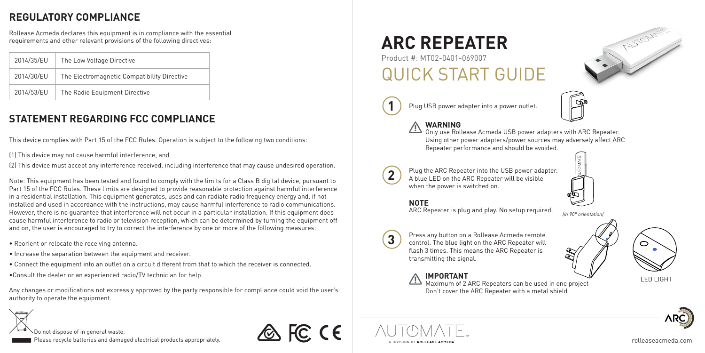### **REGULATORY COMPLIANCE**

Rollease Acmeda declares this equipment is in compliance with the essential requirements and other relevant provisions of the following directives:

| 2014/35/EU | The Low Voltage Directive                   |  |
|------------|---------------------------------------------|--|
| 2014/30/EU | The Electromagnetic Compatibility Directive |  |
| 2014/53/EU | The Radio Equipment Directive               |  |

### **STATEMENT REGARDING FCC COMPLIANCE**

This device complies with Part 15 of the FCC Rules. Operation is subject to the following two conditions:

(1) This device may not cause harmful interference, and

(2) This device must accept any interference received, including interference that may cause undesired operation.

Note: This equipment has been tested and found to comply with the limits for a Class B digital device, pursuant to Part 15 of the FCC Rules. These limits are designed to provide reasonable protection against harmful interference in a residential installation. This equipment generates, uses and can radiate radio frequency energy and, if not installed and used in accordance with the instructions, may cause harmful interference to radio communications. However, there is no guarantee that interference will not occur in a particular installation. If this equipment does cause harmful interference to radio or television reception, which can be determined by turning the equipment off and on, the user is encouraged to try to correct the interference by one or more of the following measures:

- Reorient or relocate the receiving antenna.
- Increase the separation between the equipment and receiver.
- Connect the equipment into an outlet on a circuit different from that to which the receiver is connected.
- •Consult the dealer or an experienced radio/TV technician for help.

Any changes or modifications not expressly approved by the party responsible for compliance could void the user's authority to operate the equipment.

# **ARC REPEATER**

## Product #: MT02-0401-069007 QUICK START GUIDE



40m/131ft 40m/131ft 40m/131ft 40m/131ft 40m/131ft 40m/131ft 40m/131ft 40m/131ft 40m/131ft 40m/131ft 40m/131ft

Plug USB power adapter into a power outlet.



**WARNING**<br>Only use Rollease Acmeda USB power adapters with ARC Repeater. Using other power adapters/power sources may adversely affect ARC Repeater performance and should be avoided.



Plug the ARC Repeater into the USB power adapter. A blue LED on the ARC Repeater will be visible when the power is switched on.



*(in 90° orientation)*

### **NOTE**

ARC Repeater is plug and play. No setup required.



**A** FC CE

Press any button on a Rollease Acmeda remote control. The blue light on the ARC Repeater will flash 3 times. This means the ARC Repeater is transmitting the signal.

**IMPORTANT**<br>Maximum of 2 ARC Repeaters can be used in one project LED LIGHT Don't cover the ARC Repeater with a metal shield





AUTOMIES







rolleaseacmeda.com